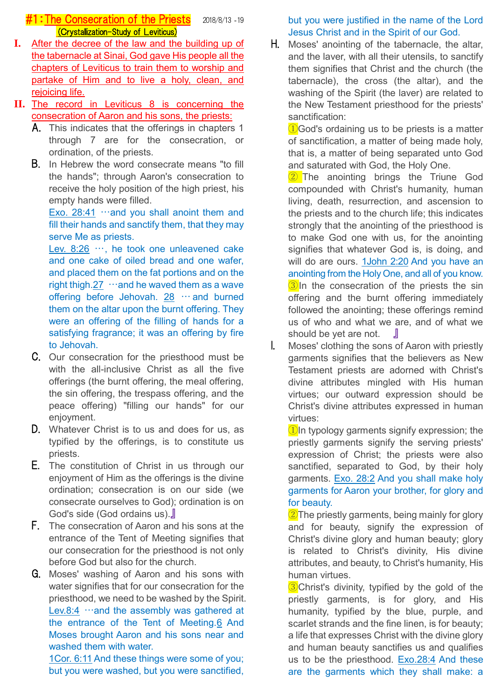# **#1: The Consecration of the Priests** 2018/8/13 -19 (Crystallization-Study of Leviticus)

- **I.** After the decree of the law and the building up of the tabernacle at Sinai, God gave His people all the chapters of Leviticus to train them to worship and partake of Him and to live a holy, clean, and rejoicing life.
- **II.** The record in Leviticus 8 is concerning the consecration of Aaron and his sons, the priests:
	- A. This indicates that the offerings in chapters 1 through 7 are for the consecration, or ordination, of the priests.
	- B. In Hebrew the word consecrate means "to fill the hands"; through Aaron's consecration to receive the holy position of the high priest, his empty hands were filled.

Exo. 28:41  $\cdots$  and you shall anoint them and fill their hands and sanctify them, that they may serve Me as priests.

Lev. 8:26 …, he took one unleavened cake and one cake of oiled bread and one wafer, and placed them on the fat portions and on the right thigh. $27 \cdot \cdot$  and he waved them as a wave offering before Jehovah. 28 … and burned them on the altar upon the burnt offering. They were an offering of the filling of hands for a satisfying fragrance; it was an offering by fire to Jehovah.

- C. Our consecration for the priesthood must be with the all-inclusive Christ as all the five offerings (the burnt offering, the meal offering, the sin offering, the trespass offering, and the peace offering) "filling our hands" for our enjoyment.
- D. Whatever Christ is to us and does for us, as typified by the offerings, is to constitute us priests.
- E. The constitution of Christ in us through our enjoyment of Him as the offerings is the divine ordination; consecration is on our side (we consecrate ourselves to God); ordination is on God's side (God ordains us).』
- F. The consecration of Aaron and his sons at the entrance of the Tent of Meeting signifies that our consecration for the priesthood is not only before God but also for the church.
- G. Moses' washing of Aaron and his sons with water signifies that for our consecration for the priesthood, we need to be washed by the Spirit. Lev.8:4  $\cdots$  and the assembly was gathered at the entrance of the Tent of Meeting.6 And Moses brought Aaron and his sons near and washed them with water.

1Cor. 6:11 And these things were some of you; but you were washed, but you were sanctified, but you were justified in the name of the Lord Jesus Christ and in the Spirit of our God.

H. Moses' anointing of the tabernacle, the altar, and the laver, with all their utensils, to sanctify them signifies that Christ and the church (the tabernacle), the cross (the altar), and the washing of the Spirit (the laver) are related to the New Testament priesthood for the priests' sanctification:

①God's ordaining us to be priests is a matter of sanctification, a matter of being made holy, that is, a matter of being separated unto God and saturated with God, the Holy One.

2 The anointing brings the Triune God compounded with Christ's humanity, human living, death, resurrection, and ascension to the priests and to the church life; this indicates strongly that the anointing of the priesthood is to make God one with us, for the anointing signifies that whatever God is, is doing, and will do are ours. 1John 2:20 And you have an anointing from the Holy One, and all of you know.  $\boxed{3}$ In the consecration of the priests the sin offering and the burnt offering immediately followed the anointing; these offerings remind us of who and what we are, and of what we should be yet are not. 』

I. Moses' clothing the sons of Aaron with priestly garments signifies that the believers as New Testament priests are adorned with Christ's divine attributes mingled with His human virtues; our outward expression should be Christ's divine attributes expressed in human virtues:

 $\bigcirc$  In typology garments signify expression; the priestly garments signify the serving priests' expression of Christ; the priests were also sanctified, separated to God, by their holy garments. Exo. 28:2 And you shall make holy garments for Aaron your brother, for glory and for beauty.

 $\sqrt{2}$ The priestly garments, being mainly for glory and for beauty, signify the expression of Christ's divine glory and human beauty; glory is related to Christ's divinity, His divine attributes, and beauty, to Christ's humanity, His human virtues.

**3**Christ's divinity, typified by the gold of the priestly garments, is for glory, and His humanity, typified by the blue, purple, and scarlet strands and the fine linen, is for beauty; a life that expresses Christ with the divine glory and human beauty sanctifies us and qualifies us to be the priesthood. Exo.28:4 And these are the garments which they shall make: a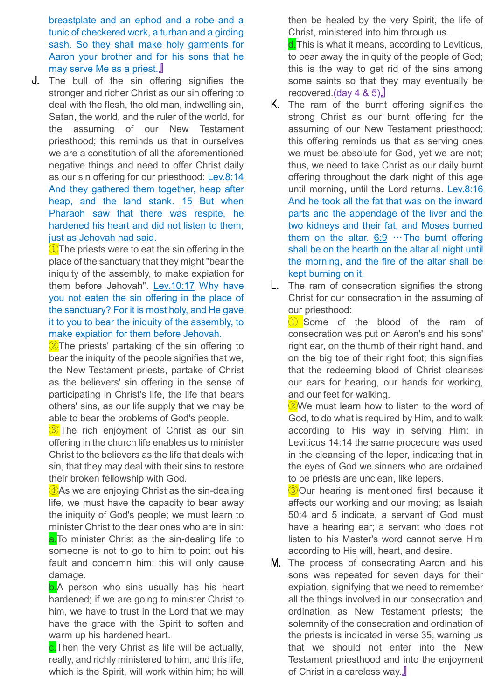breastplate and an ephod and a robe and a tunic of checkered work, a turban and a girding sash. So they shall make holy garments for Aaron your brother and for his sons that he may serve Me as a priest.』

J. The bull of the sin offering signifies the stronger and richer Christ as our sin offering to deal with the flesh, the old man, indwelling sin, Satan, the world, and the ruler of the world, for the assuming of our New Testament priesthood; this reminds us that in ourselves we are a constitution of all the aforementioned negative things and need to offer Christ daily as our sin offering for our priesthood: Lev.8:14 And they gathered them together, heap after heap, and the land stank. 15 But when Pharaoh saw that there was respite, he hardened his heart and did not listen to them, just as Jehovah had said.

**1** The priests were to eat the sin offering in the place of the sanctuary that they might "bear the iniquity of the assembly, to make expiation for them before Jehovah". Lev. 10:17 Why have you not eaten the sin offering in the place of the sanctuary? For it is most holy, and He gave it to you to bear the iniquity of the assembly, to make expiation for them before Jehovah.

2<sup>7</sup>The priests' partaking of the sin offering to bear the iniquity of the people signifies that we, the New Testament priests, partake of Christ as the believers' sin offering in the sense of participating in Christ's life, the life that bears others' sins, as our life supply that we may be able to bear the problems of God's people.

**3** The rich enjoyment of Christ as our sin offering in the church life enables us to minister Christ to the believers as the life that deals with sin, that they may deal with their sins to restore their broken fellowship with God.

④As we are enjoying Christ as the sin-dealing life, we must have the capacity to bear away the iniquity of God's people; we must learn to minister Christ to the dear ones who are in sin: a. To minister Christ as the sin-dealing life to someone is not to go to him to point out his fault and condemn him; this will only cause damage.

**b.**A person who sins usually has his heart hardened; if we are going to minister Christ to him, we have to trust in the Lord that we may have the grace with the Spirit to soften and warm up his hardened heart.

**c.**Then the very Christ as life will be actually, really, and richly ministered to him, and this life, which is the Spirit, will work within him; he will then be healed by the very Spirit, the life of Christ, ministered into him through us.

d. This is what it means, according to Leviticus, to bear away the iniquity of the people of God; this is the way to get rid of the sins among some saints so that they may eventually be recovered.(day 4 & 5)』

- K. The ram of the burnt offering signifies the strong Christ as our burnt offering for the assuming of our New Testament priesthood; this offering reminds us that as serving ones we must be absolute for God, yet we are not; thus, we need to take Christ as our daily burnt offering throughout the dark night of this age until morning, until the Lord returns. Lev.8:16 And he took all the fat that was on the inward parts and the appendage of the liver and the two kidneys and their fat, and Moses burned them on the altar.  $6:9$  … The burnt offering shall be on the hearth on the altar all night until the morning, and the fire of the altar shall be kept burning on it.
- L. The ram of consecration signifies the strong Christ for our consecration in the assuming of our priesthood:

① Some of the blood of the ram of consecration was put on Aaron's and his sons' right ear, on the thumb of their right hand, and on the big toe of their right foot; this signifies that the redeeming blood of Christ cleanses our ears for hearing, our hands for working, and our feet for walking.

②We must learn how to listen to the word of God, to do what is required by Him, and to walk according to His way in serving Him; in Leviticus 14:14 the same procedure was used in the cleansing of the leper, indicating that in the eyes of God we sinners who are ordained to be priests are unclean, like lepers.

③Our hearing is mentioned first because it affects our working and our moving; as Isaiah 50:4 and 5 indicate, a servant of God must have a hearing ear; a servant who does not listen to his Master's word cannot serve Him according to His will, heart, and desire.

M. The process of consecrating Aaron and his sons was repeated for seven days for their expiation, signifying that we need to remember all the things involved in our consecration and ordination as New Testament priests; the solemnity of the consecration and ordination of the priests is indicated in verse 35, warning us that we should not enter into the New Testament priesthood and into the enjoyment of Christ in a careless way.』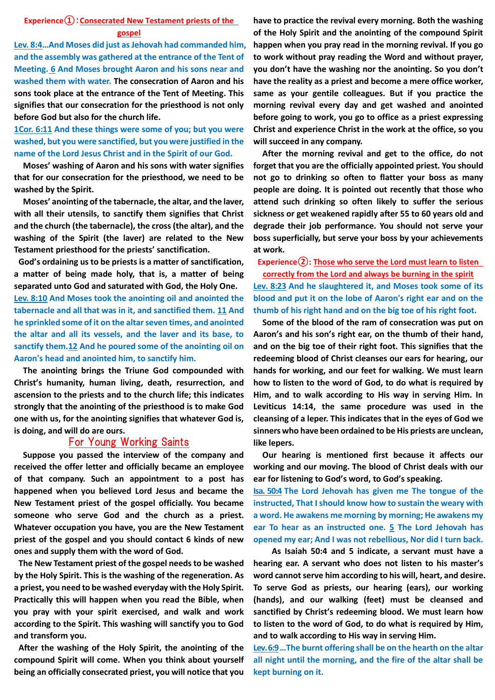### **Experience①**:**Consecrated New Testament priests of the gospel**

**Lev. 8:4…And Moses did just as Jehovah had commanded him, and the assembly was gathered at the entrance of the Tent of Meeting. 6 And Moses brought Aaron and his sons near and washed them with water. The consecration of Aaron and his sons took place at the entrance of the Tent of Meeting. This signifies that our consecration for the priesthood is not only before God but also for the church life.**

**1Cor. 6:11 And these things were some of you; but you were washed, but you were sanctified, but you were justified in the name of the Lord Jesus Christ and in the Spirit of our God.**

**Moses' washing of Aaron and his sons with water signifies that for our consecration for the priesthood, we need to be washed by the Spirit.**

**Moses' anointing of the tabernacle, the altar, and the laver, with all their utensils, to sanctify them signifies that Christ and the church (the tabernacle), the cross (the altar), and the washing of the Spirit (the laver) are related to the New Testament priesthood for the priests' sanctification.** 

**God's ordaining us to be priests is a matter of sanctification, a matter of being made holy, that is, a matter of being separated unto God and saturated with God, the Holy One. Lev. 8:10 And Moses took the anointing oil and anointed the tabernacle and all that was in it, and sanctified them. 11 And he sprinkled some of it on the altar seven times, and anointed the altar and all its vessels, and the laver and its base, to sanctify them.12 And he poured some of the anointing oil on Aaron's head and anointed him, to sanctify him.**

**The anointing brings the Triune God compounded with Christ's humanity, human living, death, resurrection, and ascension to the priests and to the church life; this indicates strongly that the anointing of the priesthood is to make God one with us, for the anointing signifies that whatever God is, is doing, and will do are ours.** 

## For Young Working Saints

**Suppose you passed the interview of the company and received the offer letter and officially became an employee of that company. Such an appointment to a post has happened when you believed Lord Jesus and became the New Testament priest of the gospel officially. You became someone who serve God and the church as a priest. Whatever occupation you have, you are the New Testament priest of the gospel and you should contact 6 kinds of new ones and supply them with the word of God.**

**The New Testament priest of the gospel needs to be washed by the Holy Spirit. This is the washing of the regeneration. As a priest, you need to be washed everyday with the Holy Spirit. Practically this will happen when you read the Bible, when you pray with your spirit exercised, and walk and work according to the Spirit. This washing will sanctify you to God and transform you.** 

**After the washing of the Holy Spirit, the anointing of the compound Spirit will come. When you think about yourself being an officially consecrated priest, you will notice that you** 

**have to practice the revival every morning. Both the washing of the Holy Spirit and the anointing of the compound Spirit happen when you pray read in the morning revival. If you go to work without pray reading the Word and without prayer, you don't have the washing nor the anointing. So you don't have the reality as a priest and become a mere office worker, same as your gentile colleagues. But if you practice the morning revival every day and get washed and anointed before going to work, you go to office as a priest expressing Christ and experience Christ in the work at the office, so you will succeed in any company.**

**After the morning revival and get to the office, do not forget that you are the officially appointed priest. You should not go to drinking so often to flatter your boss as many people are doing. It is pointed out recently that those who attend such drinking so often likely to suffer the serious sickness or get weakened rapidly after 55 to 60 years old and degrade their job performance. You should not serve your boss superficially, but serve your boss by your achievements at work.**

**Experience②: Those who serve the Lord must learn to listen correctly from the Lord and always be burning in the spirit**

**Lev. 8:23 And he slaughtered it, and Moses took some of its blood and put it on the lobe of Aaron's right ear and on the thumb of his right hand and on the big toe of his right foot.**

 **Some of the blood of the ram of consecration was put on Aaron's and his son's right ear, on the thumb of their hand, and on the big toe of their right foot. This signifies that the redeeming blood of Christ cleanses our ears for hearing, our hands for working, and our feet for walking. We must learn how to listen to the word of God, to do what is required by Him, and to walk according to His way in serving Him. In Leviticus 14:14, the same procedure was used in the cleansing of a leper. This indicates that in the eyes of God we sinners who have been ordained to be His priests are unclean, like lepers.**

 **Our hearing is mentioned first because it affects our working and our moving. The blood of Christ deals with our ear for listening to God's word, to God's speaking.**

**Isa. 50:4 The Lord Jehovah has given me The tongue of the instructed, That I should know how to sustain the weary with a word. He awakens me morning by morning; He awakens my ear To hear as an instructed one. 5 The Lord Jehovah has opened my ear; And I was not rebellious, Nor did I turn back.**

 **As Isaiah 50:4 and 5 indicate, a servant must have a hearing ear. A servant who does not listen to his master's word cannot serve him according to his will, heart, and desire. To serve God as priests, our hearing (ears), our working (hands), and our walking (feet) must be cleansed and sanctified by Christ's redeeming blood. We must learn how to listen to the word of God, to do what is required by Him, and to walk according to His way in serving Him.**

**Lev. 6:9…The burnt offering shall be on the hearth on the altar all night until the morning, and the fire of the altar shall be kept burning on it.**